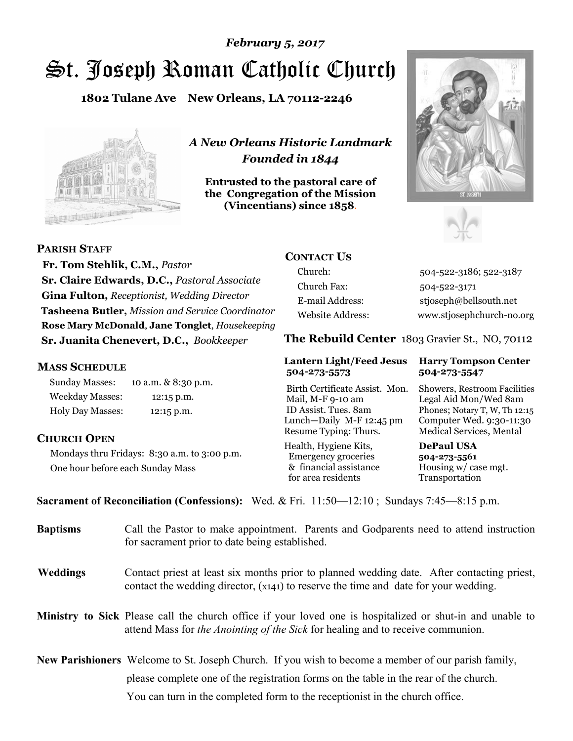# St. Joseph Roman Catholic Church *February 5, 2017*

**1802 Tulane Ave New Orleans, LA 70112-2246**



*A New Orleans Historic Landmark Founded in 1844* 

**Entrusted to the pastoral care of the Congregation of the Mission (Vincentians) since 1858**.





**PARISH STAFF**

 **Fr. Tom Stehlik, C.M.,** *Pastor* **Sr. Claire Edwards, D.C.,** *Pastoral Associate* **Gina Fulton,** *Receptionist, Wedding Director* **Tasheena Butler,** *Mission and Service Coordinator* **Rose Mary McDonald**, **Jane Tonglet**, *Housekeeping* **Sr. Juanita Chenevert, D.C.,** *Bookkeeper* 

#### **MASS SCHEDULE**

Sunday Masses: 10 a.m. & 8:30 p.m. Weekday Masses: 12:15 p.m. Holy Day Masses: 12:15 p.m.

### **CHURCH OPEN**

Mondays thru Fridays: 8:30 a.m. to 3:00 p.m. One hour before each Sunday Mass

# **CONTACT US**

Church: 504-522-3186; 522-3187 Church Fax: 504-522-3171 E-mail Address: stjoseph@bellsouth.net Website Address: www.stjosephchurch-no.org

**The Rebuild Center** 1803 Gravier St., NO, 70112

#### **Lantern Light/Feed Jesus Harry Tompson Center 504-273-5573 504-273-5547**

Birth Certificate Assist. Mon. Showers, Restroom Facilities Mail, M-F 9-10 am Legal Aid Mon/Wed 8am ID Assist. Tues. 8am Phones; Notary T, W, Th 12:15 Lunch—Daily M-F 12:45 pm Computer Wed. 9:30-11:30 Resume Typing: Thurs. Medical Services, Mental

Health, Hygiene Kits, **DePaul USA**  Emergency groceries **504-273-5561** & financial assistance Housing w/ case mgt.<br>for area residents Transportation for area residents

**Sacrament of Reconciliation (Confessions):** Wed. & Fri. 11:50—12:10 ; Sundays 7:45—8:15 p.m.

| <b>Baptisms</b> | Call the Pastor to make appointment. Parents and Godparents need to attend instruction<br>for sacrament prior to date being established.                                                                   |  |
|-----------------|------------------------------------------------------------------------------------------------------------------------------------------------------------------------------------------------------------|--|
| <b>Weddings</b> | Contact priest at least six months prior to planned wedding date. After contacting priest,<br>contact the wedding director, (x141) to reserve the time and date for your wedding.                          |  |
|                 | <b>Ministry to Sick</b> Please call the church office if your loved one is hospitalized or shut-in and unable to<br>attend Mass for <i>the Anointing of the Sick</i> for healing and to receive communion. |  |
|                 | <b>New Parishioners</b> Welcome to St. Joseph Church. If you wish to become a member of our parish family,                                                                                                 |  |
|                 | please complete one of the registration forms on the table in the rear of the church.                                                                                                                      |  |
|                 | You can turn in the completed form to the reception is the church office.                                                                                                                                  |  |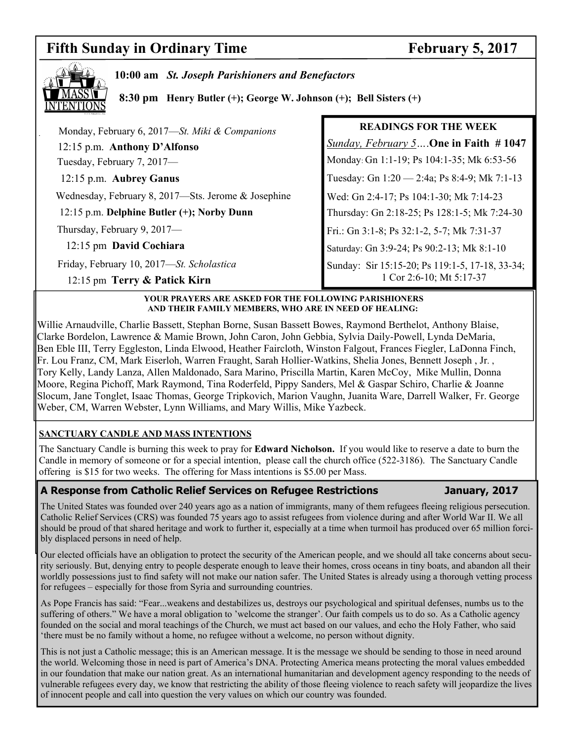# **Fifth Sunday in Ordinary Time February 5, 2017**



**10:00 am** *St. Joseph Parishioners and Benefactors* 

 **8:30 pm Henry Butler (+); George W. Johnson (+); Bell Sisters (+)** 

| Monday, February 6, 2017-St. Miki & Companions                            | <b>READINGS FOR THE WEEK</b>                                                |
|---------------------------------------------------------------------------|-----------------------------------------------------------------------------|
| 12:15 p.m. Anthony D'Alfonso                                              | <i><u>Sunday, February 5</u></i> . One in Faith #1047                       |
| Tuesday, February 7, 2017-                                                | Monday: Gn 1:1-19; Ps 104:1-35; Mk 6:53-56                                  |
| 12:15 p.m. Aubrey Ganus                                                   | Tuesday: Gn 1:20 - 2:4a; Ps 8:4-9; Mk 7:1-13                                |
| Wednesday, February 8, 2017-Sts. Jerome & Josephine                       | Wed: Gn 2:4-17; Ps 104:1-30; Mk 7:14-23                                     |
| 12:15 p.m. Delphine Butler (+); Norby Dunn                                | Thursday: Gn 2:18-25; Ps 128:1-5; Mk 7:24-30                                |
| Thursday, February 9, 2017-                                               | Fri.: Gn 3:1-8; Ps 32:1-2, 5-7; Mk 7:31-37                                  |
| 12:15 pm David Cochiara                                                   | Saturday: Gn 3:9-24; Ps 90:2-13; Mk 8:1-10                                  |
| Friday, February 10, 2017-St. Scholastica<br>12:15 pm Terry & Patick Kirn | Sunday: Sir 15:15-20; Ps 119:1-5, 17-18, 33-34;<br>1 Cor 2:6-10; Mt 5:17-37 |

#### **YOUR PRAYERS ARE ASKED FOR THE FOLLOWING PARISHIONERS AND THEIR FAMILY MEMBERS, WHO ARE IN NEED OF HEALING:**

Willie Arnaudville, Charlie Bassett, Stephan Borne, Susan Bassett Bowes, Raymond Berthelot, Anthony Blaise, Clarke Bordelon, Lawrence & Mamie Brown, John Caron, John Gebbia, Sylvia Daily-Powell, Lynda DeMaria, Ben Eble III, Terry Eggleston, Linda Elwood, Heather Faircloth, Winston Falgout, Frances Fiegler, LaDonna Finch, Fr. Lou Franz, CM, Mark Eiserloh, Warren Fraught, Sarah Hollier-Watkins, Shelia Jones, Bennett Joseph , Jr. , Tory Kelly, Landy Lanza, Allen Maldonado, Sara Marino, Priscilla Martin, Karen McCoy, Mike Mullin, Donna Moore, Regina Pichoff, Mark Raymond, Tina Roderfeld, Pippy Sanders, Mel & Gaspar Schiro, Charlie & Joanne Slocum, Jane Tonglet, Isaac Thomas, George Tripkovich, Marion Vaughn, Juanita Ware, Darrell Walker, Fr. George Weber, CM, Warren Webster, Lynn Williams, and Mary Willis, Mike Yazbeck.

### **SANCTUARY CANDLE AND MASS INTENTIONS**

The Sanctuary Candle is burning this week to pray for **Edward Nicholson.** If you would like to reserve a date to burn the Candle in memory of someone or for a special intention, please call the church office (522-3186). The Sanctuary Candle offering is \$15 for two weeks. The offering for Mass intentions is \$5.00 per Mass.

#### **A Response from Catholic Relief Services on Refugee Restrictions January, 2017**

The United States was founded over 240 years ago as a nation of immigrants, many of them refugees fleeing religious persecution. Catholic Relief Services (CRS) was founded 75 years ago to assist refugees from violence during and after World War II. We all should be proud of that shared heritage and work to further it, especially at a time when turmoil has produced over 65 million forcibly displaced persons in need of help.

Our elected officials have an obligation to protect the security of the American people, and we should all take concerns about security seriously. But, denying entry to people desperate enough to leave their homes, cross oceans in tiny boats, and abandon all their worldly possessions just to find safety will not make our nation safer. The United States is already using a thorough vetting process for refugees – especially for those from Syria and surrounding countries.

As Pope Francis has said: "Fear...weakens and destabilizes us, destroys our psychological and spiritual defenses, numbs us to the suffering of others." We have a moral obligation to 'welcome the stranger'. Our faith compels us to do so. As a Catholic agency founded on the social and moral teachings of the Church, we must act based on our values, and echo the Holy Father, who said 'there must be no family without a home, no refugee without a welcome, no person without dignity.

This is not just a Catholic message; this is an American message. It is the message we should be sending to those in need around the world. Welcoming those in need is part of America's DNA. Protecting America means protecting the moral values embedded in our foundation that make our nation great. As an international humanitarian and development agency responding to the needs of vulnerable refugees every day, we know that restricting the ability of those fleeing violence to reach safety will jeopardize the lives of innocent people and call into question the very values on which our country was founded.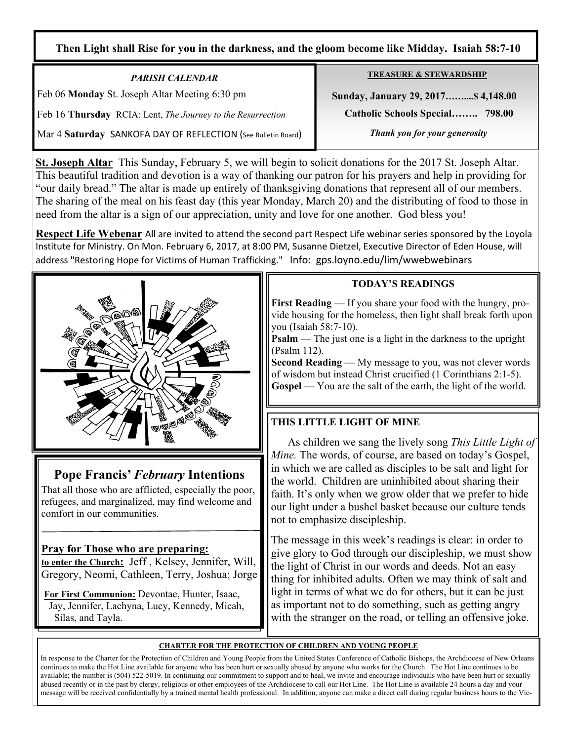### **Then Light shall Rise for you in the darkness, and the gloom become like Midday. Isaiah 58:7-10**

*PARISH CALENDAR*  Feb 06 **Monday** St. Joseph Altar Meeting 6:30 pm

Feb 16 **Thursday** RCIA: Lent, *The Journey to the Resurrection* 

Mar 4 **Saturday** SANKOFA DAY OF REFLECTION (See Bulletin Board)

**TREASURE & STEWARDSHIP**

 **Sunday, January 29, 2017……....\$ 4,148.00** 

 **Catholic Schools Special…….. 798.00** 

*Thank you for your generosity* 

**St. Joseph Altar** This Sunday, February 5, we will begin to solicit donations for the 2017 St. Joseph Altar. This beautiful tradition and devotion is a way of thanking our patron for his prayers and help in providing for "our daily bread." The altar is made up entirely of thanksgiving donations that represent all of our members. The sharing of the meal on his feast day (this year Monday, March 20) and the distributing of food to those in need from the altar is a sign of our appreciation, unity and love for one another. God bless you!

**Respect Life Webenar** All are invited to attend the second part Respect Life webinar series sponsored by the Loyola Institute for Ministry. On Mon. February 6, 2017, at 8:00 PM, Susanne Dietzel, Executive Director of Eden House, will address "Restoring Hope for Victims of Human Trafficking." Info: gps.loyno.edu/lim/wwebwebinars



# **Pope Francis'** *February* **Intentions**

That all those who are afflicted, especially the poor, refugees, and marginalized, may find welcome and comfort in our communities.

# **Pray for Those who are preparing:**

**to enter the Church:** Jeff , Kelsey, Jennifer, Will, Gregory, Neomi, Cathleen, Terry, Joshua; Jorge

**For First Communion:** Devontae, Hunter, Isaac, Jay, Jennifer, Lachyna, Lucy, Kennedy, Micah, Silas, and Tayla.

# **TODAY'S READINGS**

**First Reading** — If you share your food with the hungry, provide housing for the homeless, then light shall break forth upon you (Isaiah 58:7-10).

**Psalm** — The just one is a light in the darkness to the upright (Psalm 112).

**Second Reading** — My message to you, was not clever words of wisdom but instead Christ crucified (1 Corinthians 2:1-5). **Gospel** — You are the salt of the earth, the light of the world.

# **THIS LITTLE LIGHT OF MINE**

 As children we sang the lively song *This Little Light of Mine.* The words, of course, are based on today's Gospel, in which we are called as disciples to be salt and light for the world. Children are uninhibited about sharing their faith. It's only when we grow older that we prefer to hide our light under a bushel basket because our culture tends not to emphasize discipleship.

The message in this week's readings is clear: in order to give glory to God through our discipleship, we must show the light of Christ in our words and deeds. Not an easy thing for inhibited adults. Often we may think of salt and light in terms of what we do for others, but it can be just as important not to do something, such as getting angry with the stranger on the road, or telling an offensive joke.

### **CHARTER FOR THE PROTECTION OF CHILDREN AND YOUNG PEOPLE**

In response to the Charter for the Protection of Children and Young People from the United States Conference of Catholic Bishops, the Archdiocese of New Orleans continues to make the Hot Line available for anyone who has been hurt or sexually abused by anyone who works for the Church. The Hot Line continues to be available; the number is (504) 522-5019. In continuing our commitment to support and to heal, we invite and encourage individuals who have been hurt or sexually abused recently or in the past by clergy, religious or other employees of the Archdiocese to call our Hot Line. The Hot Line is available 24 hours a day and your message will be received confidentially by a trained mental health professional. In addition, anyone can make a direct call during regular business hours to the Vic-